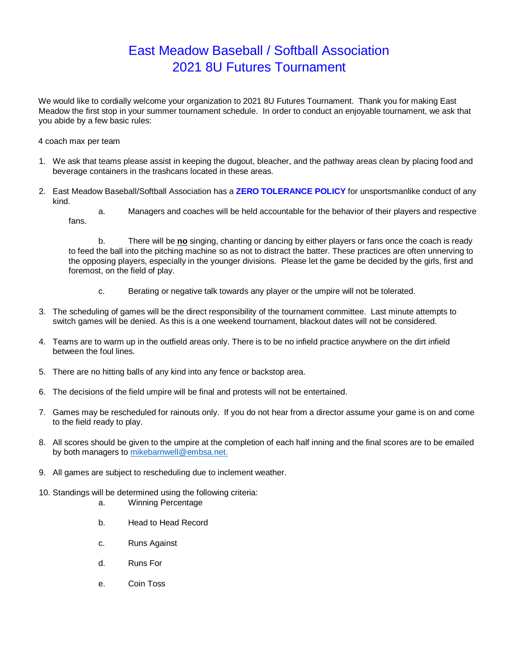## East Meadow Baseball / Softball Association 2021 8U Futures Tournament

We would like to cordially welcome your organization to 2021 8U Futures Tournament. Thank you for making East Meadow the first stop in your summer tournament schedule. In order to conduct an enjoyable tournament, we ask that you abide by a few basic rules:

4 coach max per team

- 1. We ask that teams please assist in keeping the dugout, bleacher, and the pathway areas clean by placing food and beverage containers in the trashcans located in these areas.
- 2. East Meadow Baseball/Softball Association has a **ZERO TOLERANCE POLICY** for unsportsmanlike conduct of any kind.

a. Managers and coaches will be held accountable for the behavior of their players and respective fans.

b. There will be **no** singing, chanting or dancing by either players or fans once the coach is ready to feed the ball into the pitching machine so as not to distract the batter. These practices are often unnerving to the opposing players, especially in the younger divisions. Please let the game be decided by the girls, first and foremost, on the field of play.

- c. Berating or negative talk towards any player or the umpire will not be tolerated.
- 3. The scheduling of games will be the direct responsibility of the tournament committee. Last minute attempts to switch games will be denied. As this is a one weekend tournament, blackout dates will not be considered.
- 4. Teams are to warm up in the outfield areas only. There is to be no infield practice anywhere on the dirt infield between the foul lines.
- 5. There are no hitting balls of any kind into any fence or backstop area.
- 6. The decisions of the field umpire will be final and protests will not be entertained.
- 7. Games may be rescheduled for rainouts only. If you do not hear from a director assume your game is on and come to the field ready to play.
- 8. All scores should be given to the umpire at the completion of each half inning and the final scores are to be emailed by both managers to mikebarnwell@embsa.net.
- 9. All games are subject to rescheduling due to inclement weather.
- 10. Standings will be determined using the following criteria:
	- a. Winning Percentage
	- b. Head to Head Record
	- c. Runs Against
	- d. Runs For
	- e. Coin Toss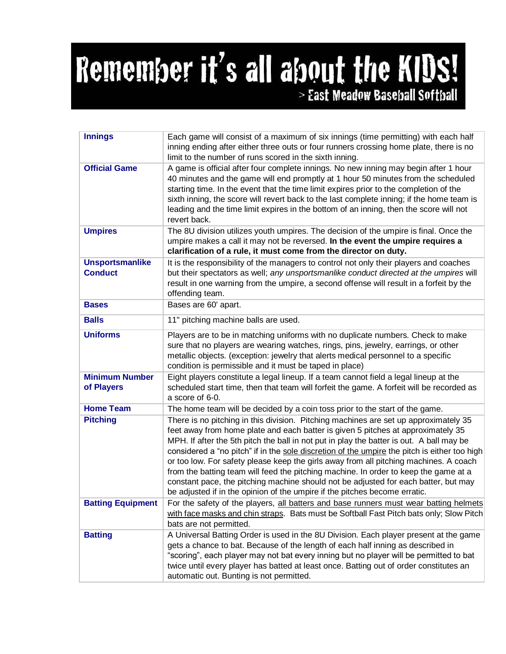## Remember it's all about the KIDS! > East Meadow Baseball Softball

| <b>Innings</b>                           | Each game will consist of a maximum of six innings (time permitting) with each half<br>inning ending after either three outs or four runners crossing home plate, there is no<br>limit to the number of runs scored in the sixth inning.                                                                                                                                                                                                                                                                                                                                                                                                                                                                                   |
|------------------------------------------|----------------------------------------------------------------------------------------------------------------------------------------------------------------------------------------------------------------------------------------------------------------------------------------------------------------------------------------------------------------------------------------------------------------------------------------------------------------------------------------------------------------------------------------------------------------------------------------------------------------------------------------------------------------------------------------------------------------------------|
| <b>Official Game</b>                     | A game is official after four complete innings. No new inning may begin after 1 hour<br>40 minutes and the game will end promptly at 1 hour 50 minutes from the scheduled<br>starting time. In the event that the time limit expires prior to the completion of the<br>sixth inning, the score will revert back to the last complete inning; if the home team is<br>leading and the time limit expires in the bottom of an inning, then the score will not<br>revert back.                                                                                                                                                                                                                                                 |
| <b>Umpires</b>                           | The 8U division utilizes youth umpires. The decision of the umpire is final. Once the<br>umpire makes a call it may not be reversed. In the event the umpire requires a<br>clarification of a rule, it must come from the director on duty.                                                                                                                                                                                                                                                                                                                                                                                                                                                                                |
| <b>Unsportsmanlike</b><br><b>Conduct</b> | It is the responsibility of the managers to control not only their players and coaches<br>but their spectators as well; any unsportsmanlike conduct directed at the umpires will<br>result in one warning from the umpire, a second offense will result in a forfeit by the<br>offending team.                                                                                                                                                                                                                                                                                                                                                                                                                             |
| <b>Bases</b>                             | Bases are 60' apart.                                                                                                                                                                                                                                                                                                                                                                                                                                                                                                                                                                                                                                                                                                       |
| <b>Balls</b>                             | 11" pitching machine balls are used.                                                                                                                                                                                                                                                                                                                                                                                                                                                                                                                                                                                                                                                                                       |
| <b>Uniforms</b>                          | Players are to be in matching uniforms with no duplicate numbers. Check to make<br>sure that no players are wearing watches, rings, pins, jewelry, earrings, or other<br>metallic objects. (exception: jewelry that alerts medical personnel to a specific<br>condition is permissible and it must be taped in place)                                                                                                                                                                                                                                                                                                                                                                                                      |
| <b>Minimum Number</b><br>of Players      | Eight players constitute a legal lineup. If a team cannot field a legal lineup at the<br>scheduled start time, then that team will forfeit the game. A forfeit will be recorded as<br>a score of 6-0.                                                                                                                                                                                                                                                                                                                                                                                                                                                                                                                      |
| <b>Home Team</b>                         | The home team will be decided by a coin toss prior to the start of the game.                                                                                                                                                                                                                                                                                                                                                                                                                                                                                                                                                                                                                                               |
| <b>Pitching</b>                          | There is no pitching in this division. Pitching machines are set up approximately 35<br>feet away from home plate and each batter is given 5 pitches at approximately 35<br>MPH. If after the 5th pitch the ball in not put in play the batter is out. A ball may be<br>considered a "no pitch" if in the sole discretion of the umpire the pitch is either too high<br>or too low. For safety please keep the girls away from all pitching machines. A coach<br>from the batting team will feed the pitching machine. In order to keep the game at a<br>constant pace, the pitching machine should not be adjusted for each batter, but may<br>be adjusted if in the opinion of the umpire if the pitches become erratic. |
| <b>Batting Equipment</b>                 | For the safety of the players, all batters and base runners must wear batting helmets<br>with face masks and chin straps. Bats must be Softball Fast Pitch bats only; Slow Pitch<br>bats are not permitted.                                                                                                                                                                                                                                                                                                                                                                                                                                                                                                                |
| <b>Batting</b>                           | A Universal Batting Order is used in the 8U Division. Each player present at the game<br>gets a chance to bat. Because of the length of each half inning as described in<br>"scoring", each player may not bat every inning but no player will be permitted to bat<br>twice until every player has batted at least once. Batting out of order constitutes an<br>automatic out. Bunting is not permitted.                                                                                                                                                                                                                                                                                                                   |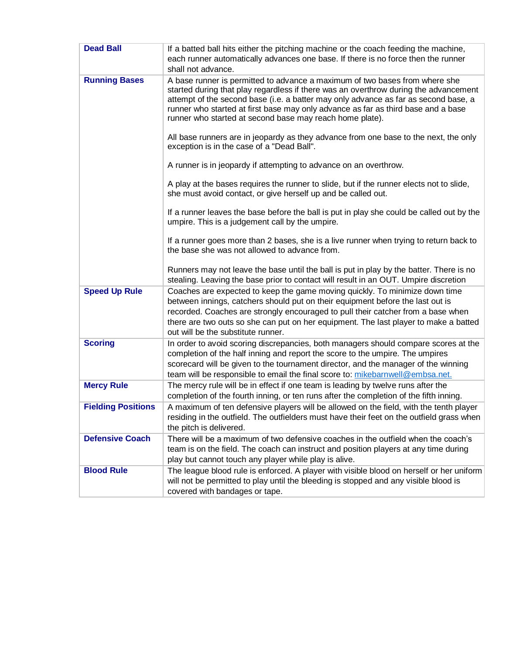| <b>Dead Ball</b>          | If a batted ball hits either the pitching machine or the coach feeding the machine,<br>each runner automatically advances one base. If there is no force then the runner<br>shall not advance.                                                                                                                                                                                                              |
|---------------------------|-------------------------------------------------------------------------------------------------------------------------------------------------------------------------------------------------------------------------------------------------------------------------------------------------------------------------------------------------------------------------------------------------------------|
| <b>Running Bases</b>      | A base runner is permitted to advance a maximum of two bases from where she<br>started during that play regardless if there was an overthrow during the advancement<br>attempt of the second base (i.e. a batter may only advance as far as second base, a<br>runner who started at first base may only advance as far as third base and a base<br>runner who started at second base may reach home plate). |
|                           | All base runners are in jeopardy as they advance from one base to the next, the only<br>exception is in the case of a "Dead Ball".                                                                                                                                                                                                                                                                          |
|                           | A runner is in jeopardy if attempting to advance on an overthrow.                                                                                                                                                                                                                                                                                                                                           |
|                           | A play at the bases requires the runner to slide, but if the runner elects not to slide,<br>she must avoid contact, or give herself up and be called out.                                                                                                                                                                                                                                                   |
|                           | If a runner leaves the base before the ball is put in play she could be called out by the<br>umpire. This is a judgement call by the umpire.                                                                                                                                                                                                                                                                |
|                           | If a runner goes more than 2 bases, she is a live runner when trying to return back to<br>the base she was not allowed to advance from.                                                                                                                                                                                                                                                                     |
|                           | Runners may not leave the base until the ball is put in play by the batter. There is no<br>stealing. Leaving the base prior to contact will result in an OUT. Umpire discretion                                                                                                                                                                                                                             |
| <b>Speed Up Rule</b>      | Coaches are expected to keep the game moving quickly. To minimize down time<br>between innings, catchers should put on their equipment before the last out is<br>recorded. Coaches are strongly encouraged to pull their catcher from a base when<br>there are two outs so she can put on her equipment. The last player to make a batted<br>out will be the substitute runner.                             |
| <b>Scoring</b>            | In order to avoid scoring discrepancies, both managers should compare scores at the<br>completion of the half inning and report the score to the umpire. The umpires<br>scorecard will be given to the tournament director, and the manager of the winning<br>team will be responsible to email the final score to: mikebarnwell@embsa.net.                                                                 |
| <b>Mercy Rule</b>         | The mercy rule will be in effect if one team is leading by twelve runs after the<br>completion of the fourth inning, or ten runs after the completion of the fifth inning.                                                                                                                                                                                                                                  |
| <b>Fielding Positions</b> | A maximum of ten defensive players will be allowed on the field, with the tenth player<br>residing in the outfield. The outfielders must have their feet on the outfield grass when<br>the pitch is delivered.                                                                                                                                                                                              |
| <b>Defensive Coach</b>    | There will be a maximum of two defensive coaches in the outfield when the coach's<br>team is on the field. The coach can instruct and position players at any time during<br>play but cannot touch any player while play is alive.                                                                                                                                                                          |
| <b>Blood Rule</b>         | The league blood rule is enforced. A player with visible blood on herself or her uniform<br>will not be permitted to play until the bleeding is stopped and any visible blood is<br>covered with bandages or tape.                                                                                                                                                                                          |